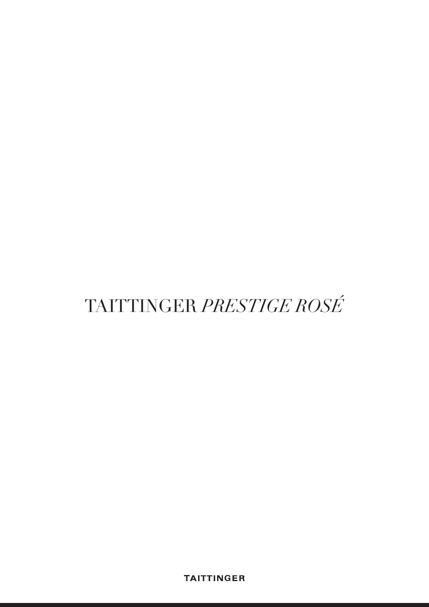## TAITTINGER PRESTIGE ROSÉ

**TAITTINGER**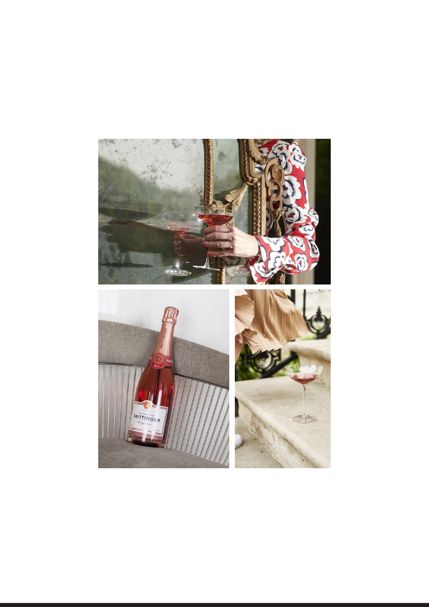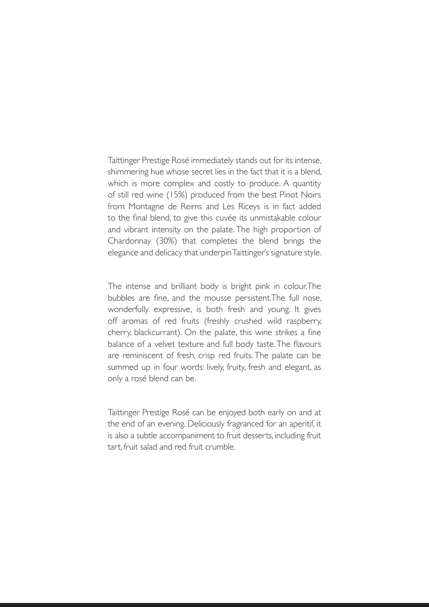Taittinger Prestige Rosé immediately stands out for its intense, shimmering hue whose secret lies in the fact that it is a blend, which is more complex and costly to produce. A quantity of still red wine (15%) produced from the best Pinot Noirs from Montagne de Reims and Les Riceys is in fact added to the final blend, to give this cuvée its unmistakable colour and vibrant intensity on the palate. The high proportion of Chardonnay (30%) that completes the blend brings the elegance and delicacy that underpin Taittinger's signature style.

The intense and brilliant body is bright pink in colour.The bubbles are fine, and the mousse persistent.The full nose, wonderfully expressive, is both fresh and young. It gives off aromas of red fruits (freshly crushed wild raspberry, cherry, blackcurrant). On the palate, this wine strikes a fine balance of a velvet texture and full body taste. The flavours are reminiscent of fresh, crisp red fruits. The palate can be summed up in four words: lively, fruity, fresh and elegant, as only a rosé blend can be.

Taittinger Prestige Rosé can be enjoyed both early on and at the end of an evening. Deliciously fragranced for an aperitif, it is also a subtle accompaniment to fruit desserts, including fruit tart, fruit salad and red fruit crumble.